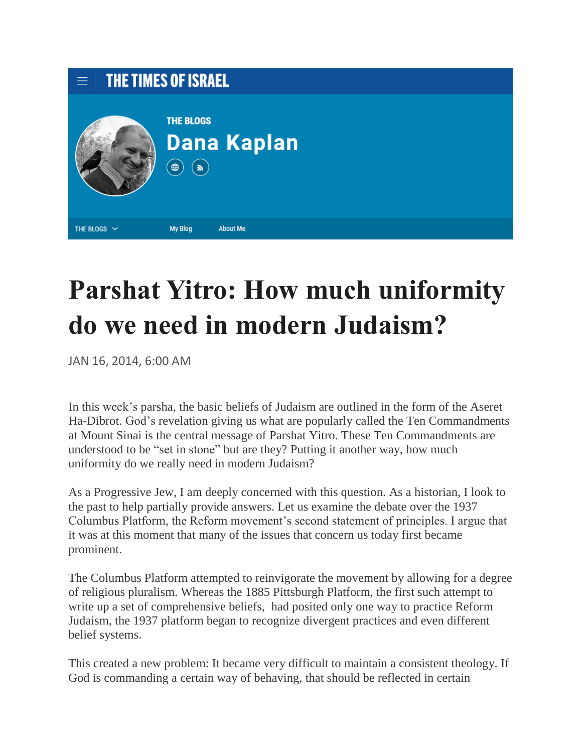

## **Parshat Yitro: How much uniformity do we need in modern Judaism?**

JAN 16, 2014, 6:00 AM

In this week's parsha, the basic beliefs of Judaism are outlined in the form of the Aseret Ha-Dibrot. God's revelation giving us what are popularly called the Ten Commandments at Mount Sinai is the central message of Parshat Yitro. These Ten Commandments are understood to be "set in stone" but are they? Putting it another way, how much uniformity do we really need in modern Judaism?

As a Progressive Jew, I am deeply concerned with this question. As a historian, I look to the past to help partially provide answers. Let us examine the debate over the 1937 Columbus Platform, the Reform movement's second statement of principles. I argue that it was at this moment that many of the issues that concern us today first became prominent.

The Columbus Platform attempted to reinvigorate the movement by allowing for a degree of religious pluralism. Whereas the 1885 Pittsburgh Platform, the first such attempt to write up a set of comprehensive beliefs, had posited only one way to practice Reform Judaism, the 1937 platform began to recognize divergent practices and even different belief systems.

This created a new problem: It became very difficult to maintain a consistent theology. If God is commanding a certain way of behaving, that should be reflected in certain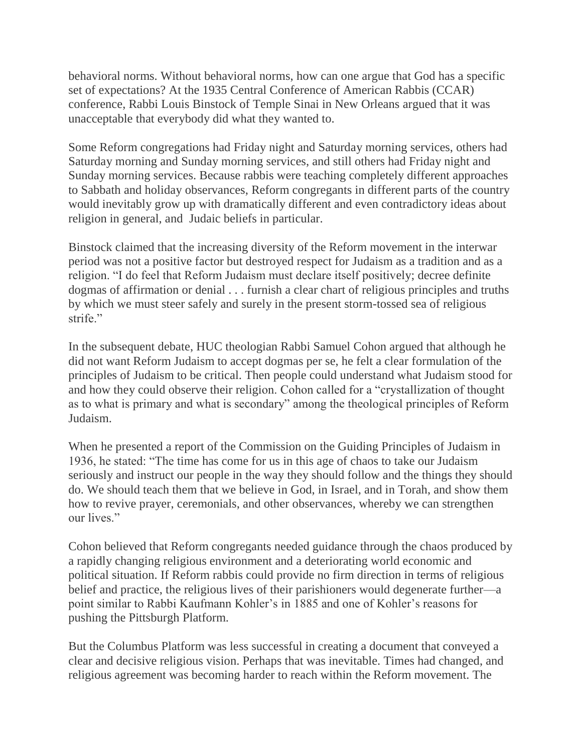behavioral norms. Without behavioral norms, how can one argue that God has a specific set of expectations? At the 1935 Central Conference of American Rabbis (CCAR) conference, Rabbi Louis Binstock of Temple Sinai in New Orleans argued that it was unacceptable that everybody did what they wanted to.

Some Reform congregations had Friday night and Saturday morning services, others had Saturday morning and Sunday morning services, and still others had Friday night and Sunday morning services. Because rabbis were teaching completely different approaches to Sabbath and holiday observances, Reform congregants in different parts of the country would inevitably grow up with dramatically different and even contradictory ideas about religion in general, and Judaic beliefs in particular.

Binstock claimed that the increasing diversity of the Reform movement in the interwar period was not a positive factor but destroyed respect for Judaism as a tradition and as a religion. "I do feel that Reform Judaism must declare itself positively; decree definite dogmas of affirmation or denial . . . furnish a clear chart of religious principles and truths by which we must steer safely and surely in the present storm-tossed sea of religious strife."

In the subsequent debate, HUC theologian Rabbi Samuel Cohon argued that although he did not want Reform Judaism to accept dogmas per se, he felt a clear formulation of the principles of Judaism to be critical. Then people could understand what Judaism stood for and how they could observe their religion. Cohon called for a "crystallization of thought as to what is primary and what is secondary" among the theological principles of Reform Judaism.

When he presented a report of the Commission on the Guiding Principles of Judaism in 1936, he stated: "The time has come for us in this age of chaos to take our Judaism seriously and instruct our people in the way they should follow and the things they should do. We should teach them that we believe in God, in Israel, and in Torah, and show them how to revive prayer, ceremonials, and other observances, whereby we can strengthen our lives."

Cohon believed that Reform congregants needed guidance through the chaos produced by a rapidly changing religious environment and a deteriorating world economic and political situation. If Reform rabbis could provide no firm direction in terms of religious belief and practice, the religious lives of their parishioners would degenerate further—a point similar to Rabbi Kaufmann Kohler's in 1885 and one of Kohler's reasons for pushing the Pittsburgh Platform.

But the Columbus Platform was less successful in creating a document that conveyed a clear and decisive religious vision. Perhaps that was inevitable. Times had changed, and religious agreement was becoming harder to reach within the Reform movement. The